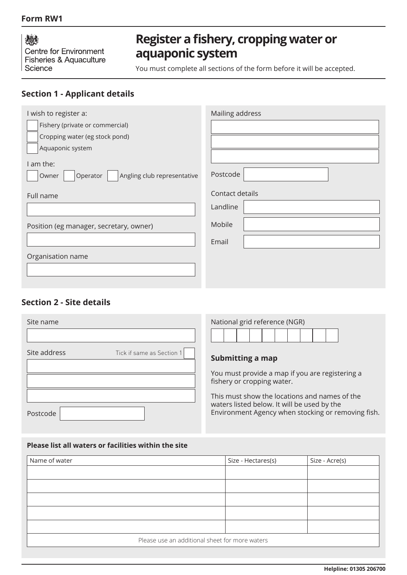### **Form RW1**

燃 Centre for Environment Fisheries & Aquaculture Science

# **Register a fishery, cropping water or aquaponic system**

You must complete all sections of the form before it will be accepted.

# **Section 1 - Applicant details**

| I wish to register a:                            | Mailing address |
|--------------------------------------------------|-----------------|
| Fishery (private or commercial)                  |                 |
| Cropping water (eg stock pond)                   |                 |
| Aquaponic system                                 |                 |
| I am the:                                        |                 |
| Angling club representative<br>Operator<br>Owner | Postcode        |
| Full name                                        | Contact details |
|                                                  | Landline        |
| Position (eg manager, secretary, owner)          | Mobile          |
|                                                  | Email           |
| Organisation name                                |                 |
|                                                  |                 |
|                                                  |                 |

# **Section 2 - Site details**

| Site name                                 | National grid reference (NGR)                                                                                                                      |
|-------------------------------------------|----------------------------------------------------------------------------------------------------------------------------------------------------|
| Site address<br>Tick if same as Section 1 | Submitting a map                                                                                                                                   |
|                                           | You must provide a map if you are registering a<br>fishery or cropping water.                                                                      |
| Postcode                                  | This must show the locations and names of the<br>waters listed below. It will be used by the<br>Environment Agency when stocking or removing fish. |

#### **Please list all waters or facilities within the site**

| Name of water                                  | Size - Hectares(s) | Size - Acre(s) |
|------------------------------------------------|--------------------|----------------|
|                                                |                    |                |
|                                                |                    |                |
|                                                |                    |                |
|                                                |                    |                |
|                                                |                    |                |
| Please use an additional sheet for more waters |                    |                |